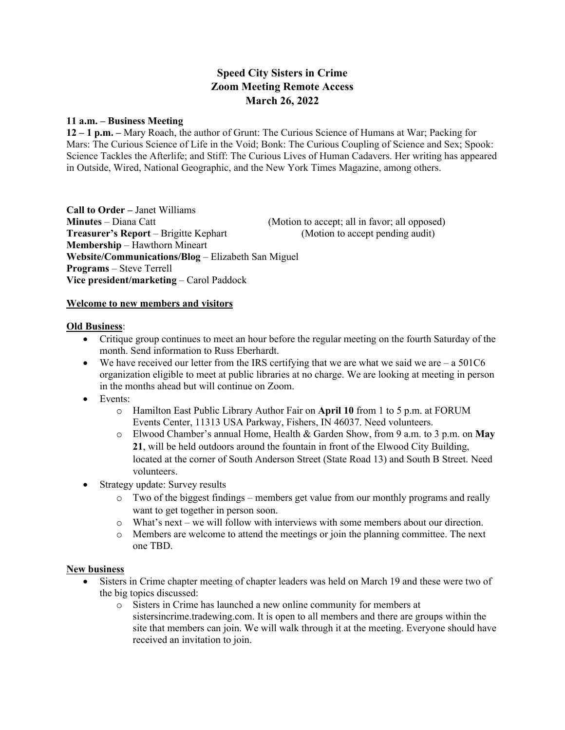# **Speed City Sisters in Crime Zoom Meeting Remote Access March 26, 2022**

#### **11 a.m. – Business Meeting**

**12 – 1 p.m. –** Mary Roach, the author of Grunt: The Curious Science of Humans at War; Packing for Mars: The Curious Science of Life in the Void; Bonk: The Curious Coupling of Science and Sex; Spook: Science Tackles the Afterlife; and Stiff: The Curious Lives of Human Cadavers. Her writing has appeared in Outside, Wired, National Geographic, and the New York Times Magazine, among others.

**Call to Order –** Janet Williams **Minutes** – Diana Catt (Motion to accept; all in favor; all opposed) **Treasurer's Report** – Brigitte Kephart (Motion to accept pending audit) **Membership** – Hawthorn Mineart **Website/Communications/Blog** – Elizabeth San Miguel **Programs** – Steve Terrell **Vice president/marketing** – Carol Paddock

### **Welcome to new members and visitors**

#### **Old Business**:

- Critique group continues to meet an hour before the regular meeting on the fourth Saturday of the month. Send information to Russ Eberhardt.
- We have received our letter from the IRS certifying that we are what we said we are  $-$  a 501C6 organization eligible to meet at public libraries at no charge. We are looking at meeting in person in the months ahead but will continue on Zoom.
- Events:
	- o Hamilton East Public Library Author Fair on **April 10** from 1 to 5 p.m. at FORUM Events Center, 11313 USA Parkway, Fishers, IN 46037. Need volunteers.
	- o Elwood Chamber's annual Home, Health & Garden Show, from 9 a.m. to 3 p.m. on **May 21**, will be held outdoors around the fountain in front of the Elwood City Building, located at the corner of South Anderson Street (State Road 13) and South B Street. Need volunteers.
- Strategy update: Survey results
	- o Two of the biggest findings members get value from our monthly programs and really want to get together in person soon.
	- o What's next we will follow with interviews with some members about our direction.
	- o Members are welcome to attend the meetings or join the planning committee. The next one TBD.

### **New business**

- Sisters in Crime chapter meeting of chapter leaders was held on March 19 and these were two of the big topics discussed:
	- o Sisters in Crime has launched a new online community for members at sistersincrime.tradewing.com. It is open to all members and there are groups within the site that members can join. We will walk through it at the meeting. Everyone should have received an invitation to join.